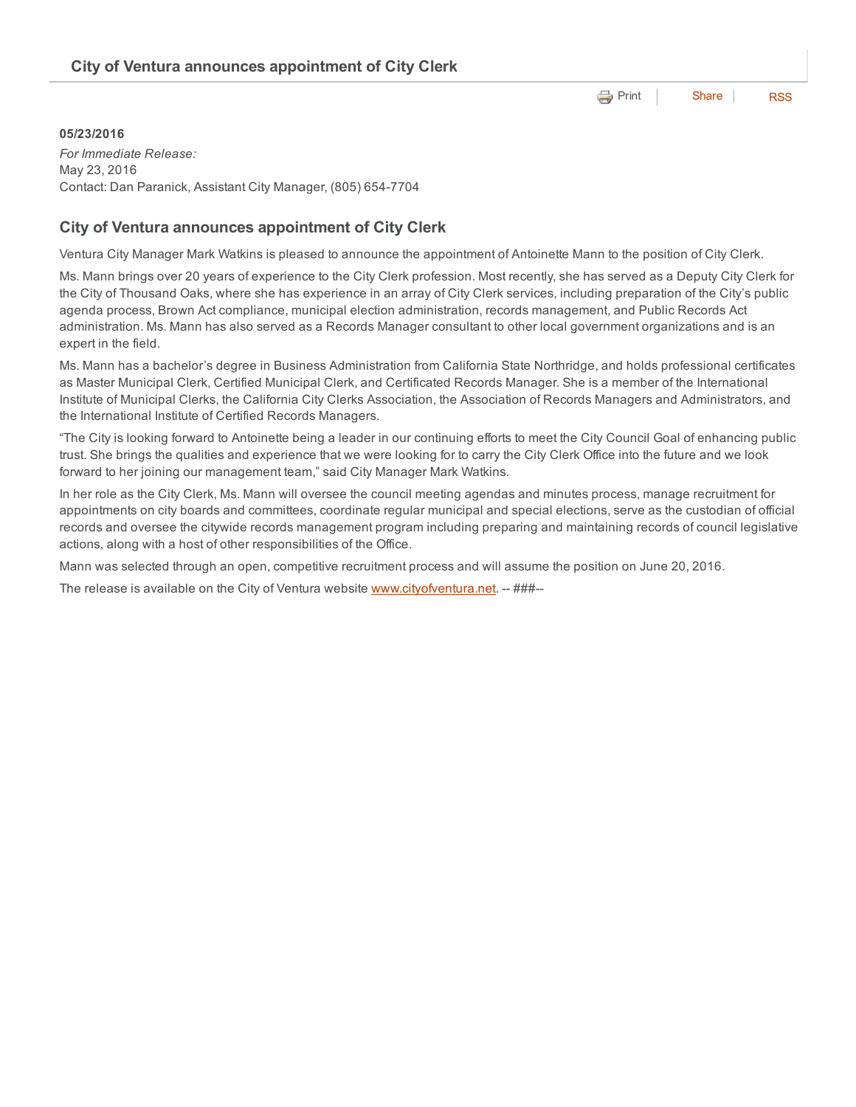**e** [Print](http://www.cityofventura.net/print/17684) | [Share](javascript:void(0)) | [RSS](http://www.cityofventura.net/feed/press_release/rss.xml)

## 05/23/2016

*For Immediate Release:* May 23, 2016 Contact: Dan Paranick, Assistant City Manager, (805) 6547704

## City of Ventura announces appointment of City Clerk

Ventura City Manager Mark Watkins is pleased to announce the appointment of Antoinette Mann to the position of City Clerk.

Ms. Mann brings over 20 years of experience to the City Clerk profession. Most recently, she has served as a Deputy City Clerk for the City of Thousand Oaks, where she has experience in an array of City Clerk services, including preparation of the City's public agenda process, Brown Act compliance, municipal election administration, records management, and Public Records Act administration. Ms. Mann has also served as a Records Manager consultant to other local government organizations and is an expert in the field.

Ms. Mann has a bachelor's degree in Business Administration from California State Northridge, and holds professional certificates as Master Municipal Clerk, Certified Municipal Clerk, and Certificated Records Manager. She is a member of the International Institute of Municipal Clerks, the California City Clerks Association, the Association of Records Managers and Administrators, and the International Institute of Certified Records Managers.

"The City is looking forward to Antoinette being a leader in our continuing efforts to meet the City Council Goal of enhancing public trust. She brings the qualities and experience that we were looking for to carry the City Clerk Office into the future and we look forward to her joining our management team," said City Manager Mark Watkins.

In her role as the City Clerk, Ms. Mann will oversee the council meeting agendas and minutes process, manage recruitment for appointments on city boards and committees, coordinate regular municipal and special elections, serve as the custodian of official records and oversee the citywide records management program including preparing and maintaining records of council legislative actions, along with a host of other responsibilities of the Office.

Mann was selected through an open, competitive recruitment process and will assume the position on June 20, 2016.

The release is available on the City of Ventura website [www.cityofventura.net.](http://www.cityofventura.net/) -- ###--